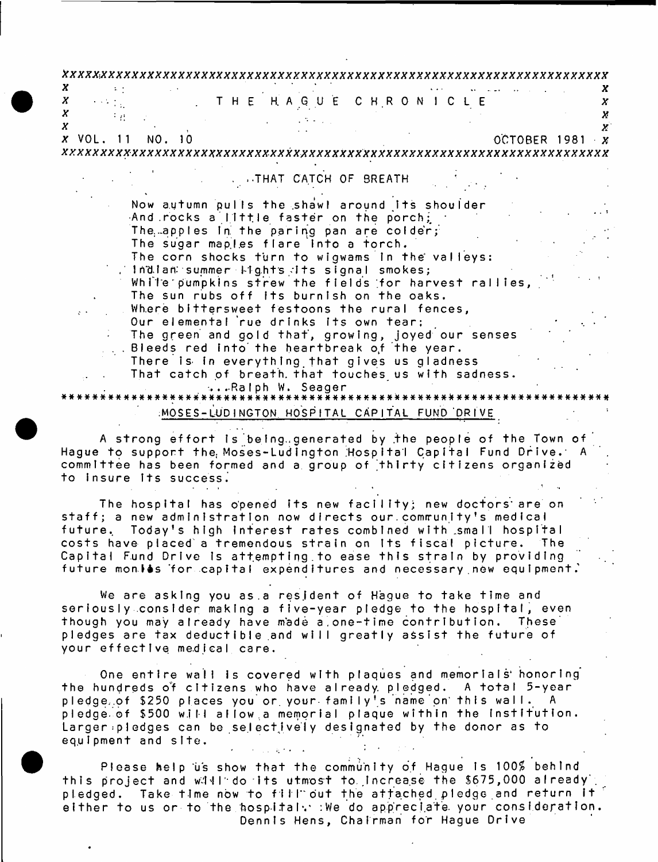<span id="page-0-0"></span>

|           | THE HAGUE CHRONICLE                                                                                 |                                          |
|-----------|-----------------------------------------------------------------------------------------------------|------------------------------------------|
|           |                                                                                                     |                                          |
|           |                                                                                                     |                                          |
| x VOL. 11 | NO. 10                                                                                              | OCTOBER 1981<br>$\cdot$ $\boldsymbol{x}$ |
|           |                                                                                                     |                                          |
|           |                                                                                                     |                                          |
|           | . .THAT CATCH OF BREATH                                                                             |                                          |
|           |                                                                                                     |                                          |
|           | Now autumn pulls the shawl around its shoulder                                                      |                                          |
|           | And rocks a little faster on the porch;                                                             |                                          |
|           | The apples in the paring pan are colder;                                                            |                                          |
|           | The sugar maples flare into a torch.                                                                |                                          |
|           | The corn shocks turn to wigwams in the valleys:                                                     |                                          |
|           | . Indian summer lights its signal smokes;                                                           |                                          |
|           | While pumpkins strew the fields for harvest rallies,                                                |                                          |
|           | The sun rubs off its burnish on the oaks.                                                           |                                          |
|           | Where bittersweet festoons the rural fences,                                                        |                                          |
|           | Our elemental rue drinks its own tear;                                                              |                                          |
|           | The green and gold that, growing, joyed our senses<br>. Bleeds red into the heartbreak of the year. |                                          |
|           | There is in everything that gives us gladness                                                       |                                          |
|           | That catch of breath that touches us with sadness.                                                  |                                          |
|           |                                                                                                     |                                          |
|           | ∴Ra∣ph W. Seager                                                                                    |                                          |
|           | MOSES-LUDINGTON HOSPITAL CAPITAL FUND DRIVE                                                         |                                          |
|           |                                                                                                     |                                          |

to insure its success. committee has been formed and a group of thirty citizens organized

future monies for capital expenditures and necessary new equipment. Capital Fund Drive is attempting to ease this strain by providing  $i$  costs have placed a tremendous strain on its fiscal picture. The future. Today's high interest rates combined with small hospital staff; a new administration now directs our community's medical The hospital has opened its new facility; new doctors are on

your effective medical care. **pledges are tax deductible and will greatly assist the future of**  $\dagger$ hough you may already have made a one-time contribution. These seriously consider making a five-year pledge to the hospital, even We are asking you as a resident of Hague to take time and

equipment and site. Larger: pledges can be selectively designated by the donor as to pledge of \$500 will allow a memorial plaque within the institution.  $p$ ledge.of \$250 places you or your family's name on this wall. the hundreds of citizens who have already pledged. A total 5-year One entire wall is covered with plaques and memorials honoring

Dennis Hens, Chairman for Hague Drive either to us or to the hospital. We do appreciate your consideration. pledged. Take time now to fill out the attached pledge and return it  $1 + h$  is project and will do its utmost to increase the \$675,000 already Please help us show that the community of Hague is 100% behind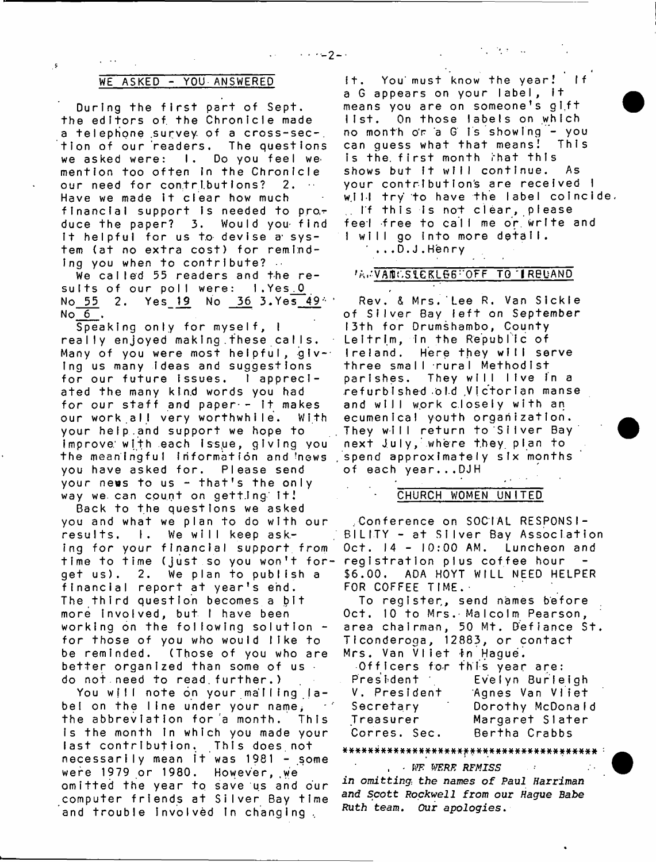## WE ASKED - YOU ANSWERED

-s

During the first part of Sept. the editors of the Chronicle made a telephone survey of a cross-sec-. tion of our readers. The questions we asked were: I. Do you feel wemention too often in the Chronicle our need for contributions? 2. Have we made it clear how much financial support is needed to pro $\tau$ duce the paper? 3. Would you find It helpful for us to devise a system (at no extra cost) for reminding you when to contribute?  $\cdots$ 

We called 55 readers and the results of our poll were: 1.Yes.0 No 55 2. Yes 19 No 36 3. Yes 494  $No 6.$ 

 $S$  peaking only for myself,  $l$ really enjoyed making these calls. Many of you were most helpful, glv-- Ing us many ideas and suggestions for our future issues. I appreciated the many kind words you had for our staff and paper  $-$  1t makes our work.all very worthwhile. With your help..and support we hope to Improve: with each Issqe, giving you the meaningful information and news you have asked for. Please send your news to us  $-$  that's the only way we can count on getting it!

Back to the questions we asked you and what we plan to do with our results. I. We will keep asking for your financial support from time to time (just so you won't forget us). 2. We plan to publish a financial report at year's end. The third question becomes a bit more involved, but I have been working on the following solution  $$ for those of you who would like to be reminded. (Those of you who are better organized than some of us  $\cdot$ do not.need to read.further.)

You will note on your mailing label on the line under your name, the abbreviation for a month. This Is the month in which you made your last contribution. This does not necessarily mean it was 1981 - some were 1979 or 1980. However, we omitted the year to save us and our computer friends at Silver Bay time and trouble involved in changing,

It. You must know the year! If a G appears on your label, it means you are on someone's gift list. On those labels on which no month or a G Is showing - you<br>can quess what that means! This can quess what that means! is the first month that this shows but it will continue. As your contribution's are received I will try to have the label coincide.  $\Box$  If this is not clear, please feel free to call me or write and I will go into more detail.  $\ldots$  D.J. Henry

 $\mathcal{L}^{\text{max}}_{\text{max}}$  , where  $\mathcal{L}^{\text{max}}_{\text{max}}$ 

### *A.D.VANCSLEKLGG"OFF TO IRBUAND*

Rev. & Mrs. Lee R. Van Sickle of Silver Bay left on September 13th for Drumshambo, County Leitrim, in the Republic of Ireland. Here they will serve three small rural Methodist parishes. They will live in a refurbished old Victorian manse and will work closely with an ecumenical youth organization. They will return to Silver Bay next July, where they plan to spend approximately six months of each year...DJH

## CHURCH WOMEN UNITED

.Conference on SOCIAL RESPONSI-BILITY - at Silver Bay Association  $Oct.$   $14 - 10:00$  AM. Luncheon and registration plus coffee hour \$6.00. ADA HOYT WILL NEED HELPER FOR COFFEE TIME.

To register,, send names before Oct. 10 to Mrs. Malcoim Pearson, area chairman, 50 Mt. Defiance St. Ticonderoga, 12883, or contact Mrs. Van Vliet in Hague.

|              | Officers for this year are: |
|--------------|-----------------------------|
| President 1  | Evelyn Burleigh             |
| V. President | Agnes Van Viiet             |
| Secretary    | Dorothy McDonald            |
| Treasurer    | Margaret Slater             |
| Corres. Sec. | Bertha Crabbs               |

#########\*\*########\*###\*#####\*########## :

, . KF *WERE REMISS in omitting*; the *names of Paul Harriman and Scott Rockwell from our Hague Babe*

*Ruth* team. Our *apologies*.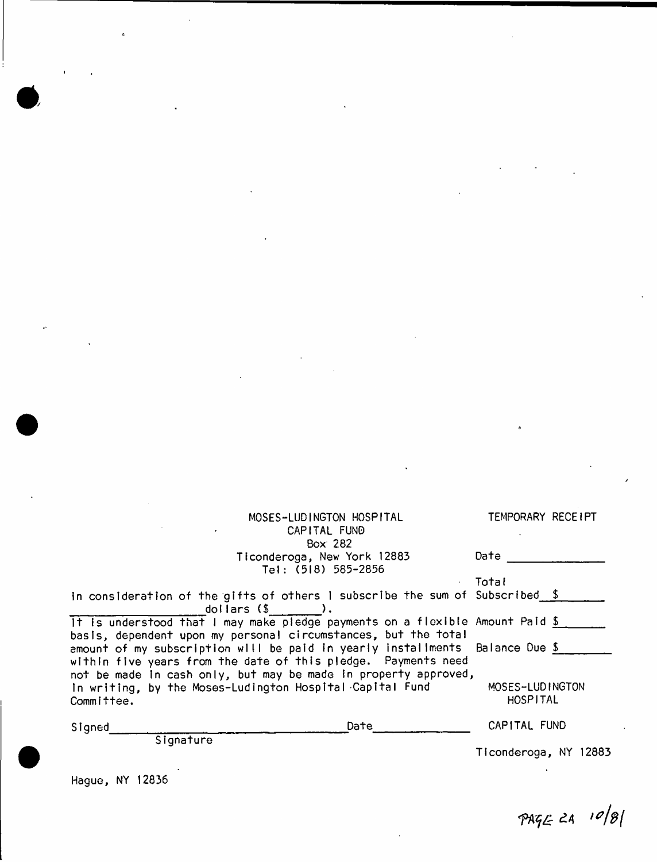| MOSES-LUDINGTON HOSPITAL                                                                                                                                                             | TEMPORARY RECEIPT           |
|--------------------------------------------------------------------------------------------------------------------------------------------------------------------------------------|-----------------------------|
| CAPITAL FUND                                                                                                                                                                         |                             |
| Box 282<br>Ticonderoga, New York 12883                                                                                                                                               | Date                        |
| Tel: (518) 585-2856                                                                                                                                                                  |                             |
|                                                                                                                                                                                      | Total                       |
| in consideration of the gifts of others I subscribe the sum of Subscribed \$                                                                                                         |                             |
| $d$ ollars $(\$ $\)$ .<br>It is understood that I may make pledge payments on a flexible Amount Paid $\frac{5}{2}$<br>basis, dependent upon my personal circumstances, but the total |                             |
| amount of my subscription will be paid in yearly installments Balance Due \$<br>within five years from the date of this pledge. Payments need                                        |                             |
| not be made in cash only, but may be made in property approved,<br>In writing, by the Moses-Ludington Hospital Capital Fund<br>Committee.                                            | MOSES-LUDINGTON<br>HOSPITAL |
| Date<br>Signed                                                                                                                                                                       | CAPITAL FUND                |
| Signature                                                                                                                                                                            | Ticonderoga, NY 12883       |
|                                                                                                                                                                                      |                             |

Hague, NY 12836

 $PAGE 24 10|8|$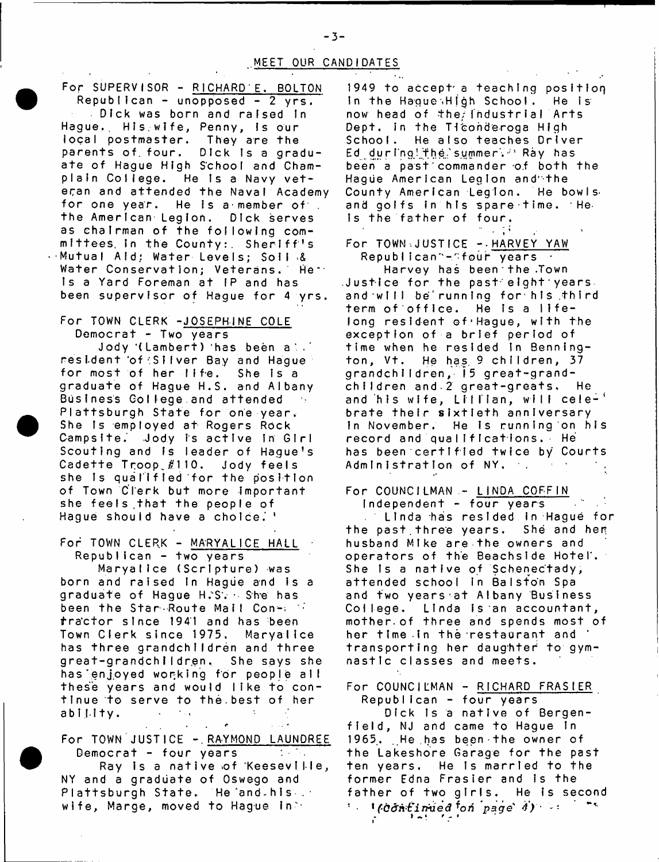## MEET OUR CANDIDATES

For SUPERVISOR - RICHARD E. BOLTON  $Reoublican - unopposed - 2 yrs.$ Dick was born and raised in Hague. His wife, Penny, is our local postmaster. They are the parents of four. Dick is a graduate of Haque High School and Champlain College. He is a Navy veteran and attended the Naval Academy for one year. He is a member of the American Legion. Dick serves as chairman of the following committees, in the County: Sheriff's Mutual Aid; Water Levels: Soil & Water Conservation; Veterans, He " Is a Yard Foreman at IP and has been supervisor of Hague for 4 yrs.

# For TOWN CLERK -JOSEPHINE COLE

Democrat - Two years Jody '(Lambert) has been a . resident of Silver Bay and Hague<br>for most of her life. She is a for most of her life. graduate of Haque H.S. and Albany Business College.and attended Plattsburgh State for one year. She Is employed at Rogers Rock Campsite. Jody is active in Girl Scouting and is leader of Haque's Cadette Troop #110. Jody feels she is qualified for the position of Town Clerk but more Important she feels that the people of Hague should have a choice.'

For TOWN CLERK - MARYALICE HALL  $Republican - two years$ 

Maryallce (Scripture) was born and raised In Haque and is a graduate of Hague H.S. · She has been the Star Route Mail Contractor since 1941 and has been Town Clerk since 1975. Maryallce has three grandchildren and three great-grandchildren. She says she has enjoyed working for people all these years and would like to continue to serve to the best of her ability.  $\Delta\omega_{\rm eff}$  $\ddot{\phantom{a}}$ 

For TOWN JUSTICE - RAYMOND LAUNDREE Democrat - four years  $\mathcal{L}^{\text{max}}_{\text{max}}$  , where  $\mathcal{L}^{\text{max}}_{\text{max}}$ Ray is a native of Keeseville, NY and a graduate of Oswego and Plattsburgh State. He and his wife, Marge, moved to Hague In $\geq$ 

 $\hat{\mathbf{r}}$ 

فارداد

1949 to accept a teaching position In the Haque High School. He is now head of the findustrial Arts Dept. In the Ticonderoga High School. He also teaches Driver Ed during the summer. ' Ray has been a past commander of both the Hague American Legion and"the County American Legion. He bowls and golfs in his spare time. He-Is the father of four.

For TOWN, JUSTICE - HARVEY YAW Republican"-"four years a

Harvey has been the .Town  $J$ ustice for the past eight years. and will be running for his third term of office. He is a lifelong resident of'Hague, with the exception of a brief period of time when he resided in Bennington, Vt. He has 9 children, 37 grandchildren, 15 great-grandchildren and 2 great-greats. He and his wife, Lillian, will cele-' brate their sixtieth anniversary In November. He is running on his record and qualifications. He has been certified twice by Courts Administration of NY, and

For COUNCILMAN - LINDA COFFIN Independent - four years

Linda has resided in Hague for the past three years. She and her husband Mike are the owners and operators of the Beachside Hotel. She Is a native of Schenectady, attended school in Balston Spa and two years at Albany Business College. Linda is an accountant, mother of three and spends most of her time in the restaurant and transporting her daughter to gymnastic classes and meets.

For COUNCILMAN - RICHARD FRASIER Republican - four years

Dick is a native of Bergenfield, NJ and came to Haque in 1965, He has been the owner of the Lakeshore Garage for the past ten years. He is married to the former Edna Frasier and is the father of two girls. He is second ' · 1*(Côn-tirnied <sup>f</sup>on page <i>4)* · ·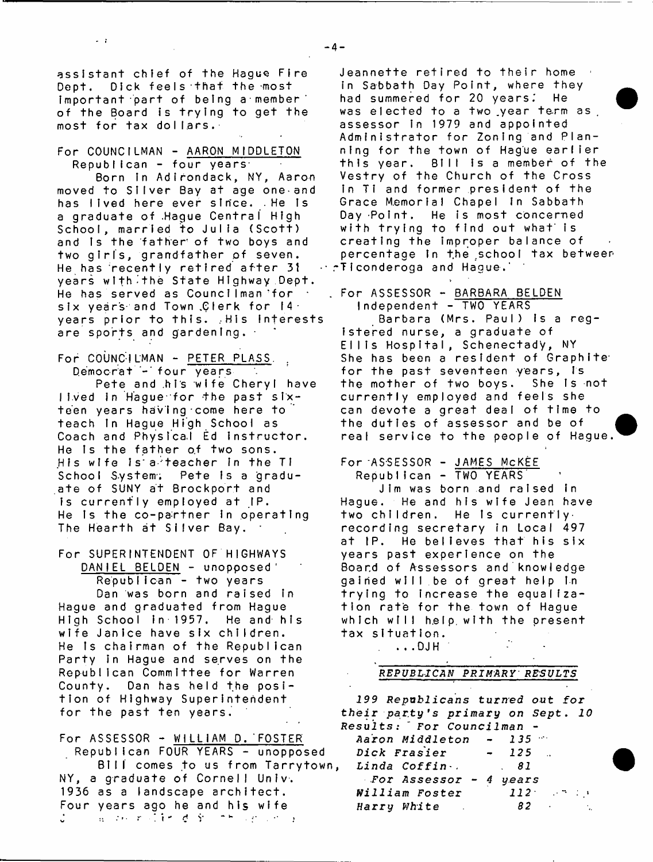assistant chief of the Hague Fire Dept, Dick feels that the most important part of being a member of the Board is trying to get the most for tax dollars.

 $\sim$  1

For COUNCILMAN - AARON MIDDLETON  $Republican - four years$ 

Born in Adirondack, NY, Aaron moved to Silver Bay at age one and has lived here ever since. . He is a graduate of Hague Central High School, married to Julia (Scott) and Is the father of two boys and two girls, grandfather of seven. He has recently retired after 31 years with the State Highway Dept. He has served as Councilman for six years and Town Clerk for  $14<sup>+</sup>$ years prior to this. ,His interests are sports and gardening. •

For COUNCILMAN - PETER PLASS. Democrat - four years

Pete and his wife Cheryl have I ived in Hague for the past sixteen years having come here to teach in Haque High School as Coach and Phystca.I Ed instructor. He Is the father of two sons. His wife is a teacher in the TI School System; Pete is a graduate of SUNY at Brockport and is currently employed at IP. He is the co-partner in operating The Hearth at Silver Bay.

For SUPERINTENDENT OF HIGHWAYS DANIEL BELDEN - unopposed Republican - two years Dan was born and raised in Hague and graduated from Hague High School In-1957. He and his wife Janice have six children. He Is chairman of the Republican Party in Hague and serves on the Republican Committee for Warren County. Dan has held the position of Highway Superintendent for the past ten years.

For ASSESSOR - WILLIAM D. FOSTER Republican FOUR YEARS - unopposed Bill comes to us from Tarrytown, NY, a graduate of Cornell Univ. 1936 as a landscape architect. Four years ago he and his wife 海口病 的过去分词 秦国地区 经合同的商

Jeannette retired to their home in Sabbath Day Point, where they had summered for 20 years. He was elected to a two year term as , assessor in 1979 and appointed Administrator for Zoning and Planning for the town of Hague earlier this year. Bill is a member of the Vestry of the Church of the Cross in Ti and former president of the Grace Memorial Chapel In Sabbath Day Point. He is most concerned with trying to find out what is creating the improper balance of percentage in the school tax betweer .-Ticonderoga and Hague.'

. For ASSESSOR - BARBARA BELDEN Independent - TWO YEARS

Barbara (Mrs. Paul) is a registered nurse, a graduate of Ellis Hospital, Schenectady, NY She has been a resident of Graphite for the past seventeen years, is the mother of two boys. She Is not currently employed and feels she can devote a great deal of time to the duties of assessor and be of real service to the people of Hague.

For ASSESSOR - JAMES MCKEE

Republican - TWO YEARS Jim was born and raised in Hague. He and his wife Jean have two children. He is currently. recording secretary in Local 497 at IP. He believes that his six years past experience on the Board of Assessors and knowledge gained will be of great help In trying to increase the equalization rate for the town of Hague which will help with the present tax situation.

 $\ldots$  DJH

## *REPUBLICAN PRIMARY' RESULTS*

 $\sim$ 

*19 9 Republicans turned out for their p a r t y 's primary on* Sept. *10 Results:* " *For Councilman* -

| Aaron Middleton        | $\sim 100$ | $135 -$           |
|------------------------|------------|-------------------|
| Dick Frasier           |            | $-125$            |
| Linda Coffin.          |            | . 81              |
| For Assessor - 4 years |            |                   |
| William Foster         |            | $112$ $\cdots$    |
| Harry White N.         |            | 82.<br>$\sim 200$ |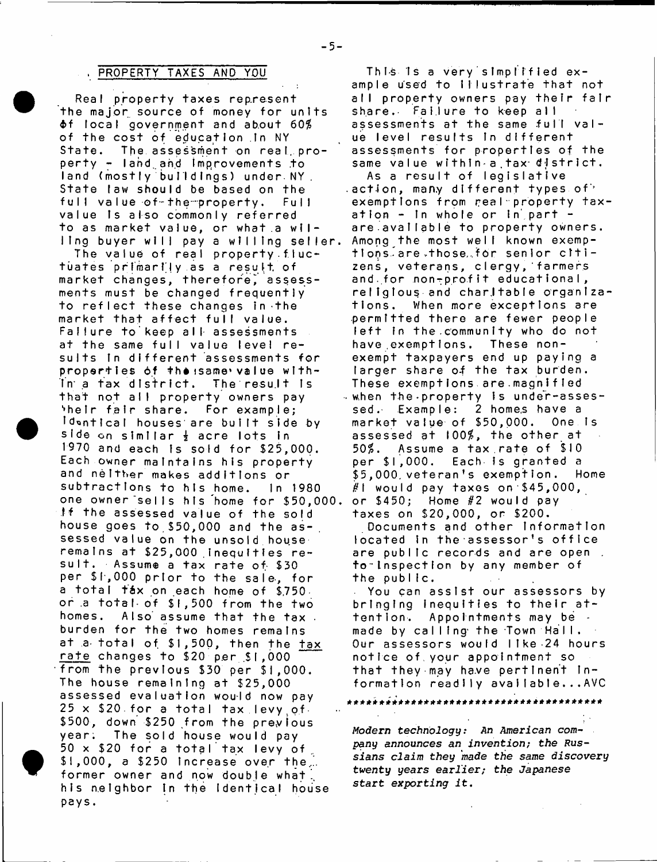## PROPERTY TAXES AND YOU

Real property taxes represent the major source of money for units  $\texttt{d}$ f local government and about 60% of the cost of education in NY State. The assessment on real, property - land and improvements to land (mostly buildings) under NY. State law should be based on the full value of the property. Full value is also commonly referred to as market value, or what a willing buyer will pay a willing seller.

The value of real property fluctuates primarily as a result of market changes, therefore, assessments must be changed frequently to reflect these changes in the market that affect full value. Failure to keep all assessments at the same full value level results in different assessments for properties of the same value within a tax district. The result is that not all property owners pay 'heir fair share. For example: Idontical houses are built side by side on similar  $\frac{1}{2}$  acre lots in 1970 and each is sold for \$25,000. Each owner maintains his property and neither makes additions or subtractions to his home. In 1980 one owner'sells his home for \$50,000 If the assessed value of the sold house goes to  $$50,000$  and the as-, sessed value on the unsold house remains at \$25,000 inequities resuit. Assume a tax rate of \$30 per \$1,000 prior to the sale, for a total táx on each home of \$.750. or a total of \$1,500 from the two homes. Also assume that the tax. burden for the two homes remains at a total of \$1,500, then the tax rate changes to  $$20$  per  $$1,000$ from the previous \$30 per \$1,000. The house remaining at \$25,000 assessed evaluation would now pay  $25 \times$  \$20 for a total tax levy of  $\overline{\phantom{a}}$ \$500, down \$250 from the previous year. The sold house would pay  $50 \times $20$  for a total tax levy of  $$1,000$ , a  $$250$  increase over the... former owner and now double what. his neighbor in the Identical house pays.

This is a very simplified example used to Illustrate that not all property owners pay their fair share. Failure to keep all assessments at the same full value level results in different assessments for properties of the same value within a tax district. As a result of legislative  $a$  action, many different types of  $b$ exemptions from real property taxation  $-$  in whole or in part  $$ are avaliable to property owners. Among the most well known exemptlons are those for senior citizens, veterans, clergy, farmers and.for non-profit educational, religious and charttable organizations. When more exceptions are permitted there are fewer people left in the community who do not have exemptions. These nonexempt taxpayers end up paying a larger share of the tax burden. These exemptions are magnified when the property is under-assessed. Example: 2 homes have a market value of \$50,000. One is assessed at 100%, the other at 50%. Assume a tax rate of \$10 per \$1,000. Each is granted a \$5,000 veteran's exemption. Home  $\#$ l would pay taxes on \$45,000, or  $$450;$  Home  $#2$  would pay taxes on \$20,000, or \$200.

Documents and other information located in the assessor's office are public records and are open. to inspection by any member of the public.

You can assist our assessors by bringing inequities to their attention. Appointments may be made by calling the Town Hall. Our assessors would like 24 hours notice of your appointment so that they may have pertinent information readily available...AVC

*Modern technology: An American* company *announces an invention; the Russians claim they made the same* discovery twenty years *earlier; the Japanese start exporting* it.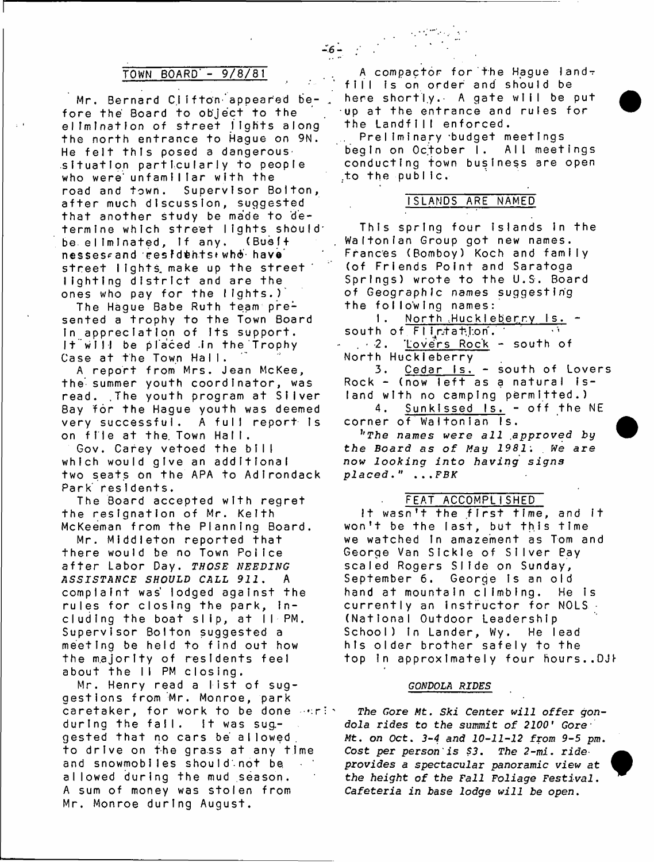## TOWN BOARD'- 9/8/81

Mr. Bernard Clifton appeared before the Board to object to the elimination of street lights along the north entrance to Hague on 9N. He felt this posed a dangerous. situation particularly to people who were unfamiliar with the road and town. Supervisor Bolton, after much discussion, suggested that another study be made to determine which street lights should be eliminated, if any, (Busit nesses and residents who have street lights make up the street lighting district and are the ones who pay for the lights.)'

The Hague Babe Ruth team presented a trophy to the Town Board in appreciation of its support. It will be placed in the Trophy Case at the Town Hall.

A report from Mrs. Jean McKee, the summer youth coordinator, was read. The youth program at Silver Bay for the Hague youth was deemed very successful. A full report is on file at the Town Hall.

Gov. Carey vetoed the bill which would give an additional two seats on the APA to Adirondack Park residents.

The Board accepted with regret the resignation of Mr. Keith McKeeman from the Planning Board.

Mr. Middleton reported that there would be no Town Police after Labor Day. *THOSE NEEDING ASSISTANCE SHOULD CALL 911* . A complaint was' lodged against the rules for closing the park, including the boat slip, at  $H \cdot PM$ . Supervisor Bolton suggested a meeting be held to find out how the majority of residents feel about the II PM closing.

Mr. Henry read a list of suggestions from Mr. Monroe, park caretaker, for work to be done entire during the fall. It was suggested that no cars be allowed, to drive on the grass at any time and snowmobiles should not be allowed during the mud season. A sum of money was stolen from Mr. Monroe during August.

A compactor for the Haque landfill is on order and should be here shortly. A gate will be put up at the entrance and rules for the Landfill enforced.

 $-6-$ 

Preliminary budget meetings begin on October I. All meetings conducting town business are open to the public.

## ISLANDS ARE NAMED

This spring four islands in the Waftonian Group got new names. Frances (Bomboy) Koch and family (of Friends Point and Saratoga Springs) wrote to the U.S. Board of Geographic names suggesting the following names:

1. North Huckleberry Is. south of FII, tatlon. . 2. Lovers Rock - south of North Huckleberry

3. Cedar Is. - south of Lovers Rock - (now left as a natural island with no camping permitted.)

4. Sunkissed Is. - off the NE corner of Waltonian Is.

*hThe names were all* .approved *by* the Board as of May 1981. We are now *looking* into *having signs placed*." *...FBK*

## FEAT ACCOMPLISHED

It wasn't the first time, and it won't be the last, but this time we watched in amazement as Tom and George Van Sickle of Silver Bay scaled Rogers Slide on Sunday, September 6. George is an old hand at mountain climbing. He is currently an instructor for NOLS -(National Outdoor Leadership School) in Lander, Wy. He lead his older brother safely to the top in approximately four hours..DJF

#### *GONDOLA RIDES*

*The Gore* Aft. *Ski Center will* offer *gondola rides to the summit of 2100*' *Gore-Mt*. on Oct. *3-4 and 10-11-12 from 9-5* pm. *Cost per person'is \$3. The 2-mi. ride*• *\* provides a spectacular panoramic view at* f the *height of the Fall Foliage Festival. Cafeteria in base lodge will be open*.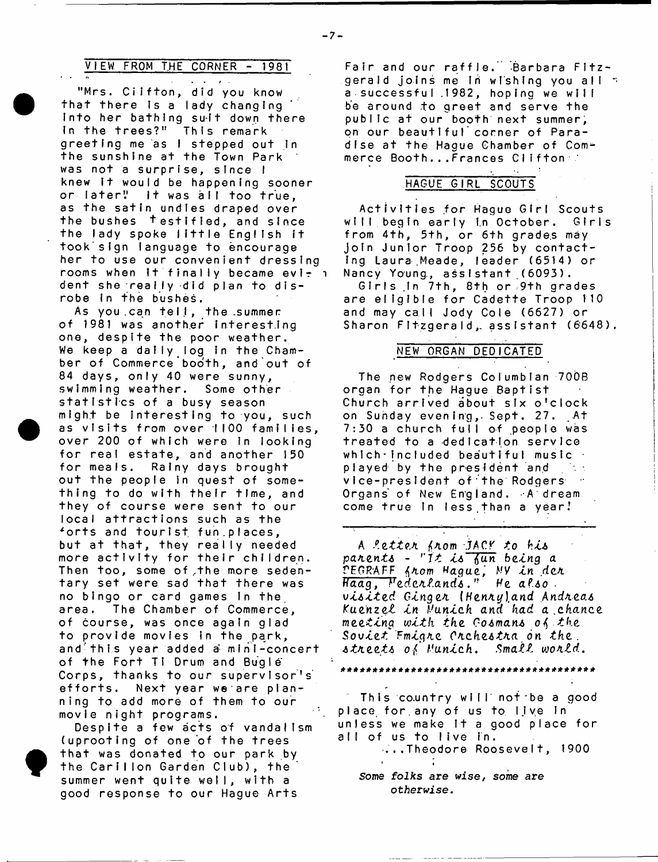## VIEW FROM THE CORNER - 1981

 $\sim$ "Mrs. Cilfton, did you know that there is a lady changing Into her bathing suit down there In the trees?" This remark greeting me as I stepped out in the sunshine at the Town Park was not a surprise, since I knew it would be happening sooner or later" it was all too true, as the satin undies draped over the bushes testified, and since the lady spoke little English it took sign language to encourage her to use our convenient dressing rooms when  $it$  finally became evi-  $i$ dent she really did plan to disrobe in the bushes.

As you can tell, the summer of 1981 was another interesting one, despite the poor weather. We keep a daily log in the Chamber of Commerce booth, and out of 84 days, only 40 were sunny, swimming weather. Some other statistics of a busy season might be interesting to you, such as visits from over 1100 families, over 200 of which were in looking for real estate, and another 150 for meals. Rainy days brought out the people in quest of something to do with thefr time, and they of course were sent to our local attractions such as the \*orts and tourist fun.places, but at that, they really needed more activity for their children. Then too, some of the more sedentary set were sad that there was no bingo or card games in the area. The Chamber of Commerce, of course, was once again glad to provide movies in the park, and this year added a mini-concert of the Fort TI Drum and Bugle Corps, thanks to our supervisor's efforts. Next year we are planning to add more of them to our movie night programs.

Despite a few acts of vandalism (uprooting of one of the trees that was donated to our park by the Carillon Garden Club), the summer went quite well, with a good response to our Hague Arts

Fair and our raffle. Barbara Fitzgerald joins me in wishing you all  $\gamma$ a successful . 1982, hoping we will be around to greet and serve the public at our booth next summer, on our beautiful conner of Paradise at the Haque Chamber of Commerce Booth...Frances Clifton

## HAGUE GIRL SCOUTS'

Activities for Hague Girl Scouts will begin early in October. Girls from 4th, 5th, or 6th grades may join Junior Troop 256 by contact-Ing Laura Meade, leader (6514) or Nancy Young, assistant (6093).

Girls in 7th, 8th or 9th grades are eligible for Cadette Troop 110 and may call Jody Cole (6627) or Sharon Fitzgerald, assistant (6648).

## NEW ORGAN DEDICATED"

The new Rodgers Columbian 700B organ for the Hague Baptist Church arrived about six o'clock on Sunday evening,. Sept. 27. At 7:30 a church full of people was treated to a dedication service which  $\cdot$  included beautiful music  $\cdot$ played by the president and vice-president of the Rodgers Organs of New England. A dream. come true in less than a year!

A *tetteK fAom jACK to hJLk paA.ent6 - rit i.6* tfun *betng a VEQR'APF Hague.\ HY tn dcA Ffdag*, *Fedesit.andi .n He a ?.60 . visited Ginger (Henry)and Andreas Kuenzel tn Hunteh and had a ,chance meeting with the Go6man6 the* Soviet *Emigre Crchestra on the*. *6tn.eet6 of Hunteh, SmaiZ wotild.*

#### \*\*\*\*\*\*\*\*\*\*

This country will not be a good place for any of us to live in unless we make It a good place for all of us to live in.

-...Theodore Roosevelt, 1900

Some *folks are* wise, *some are otherwise*.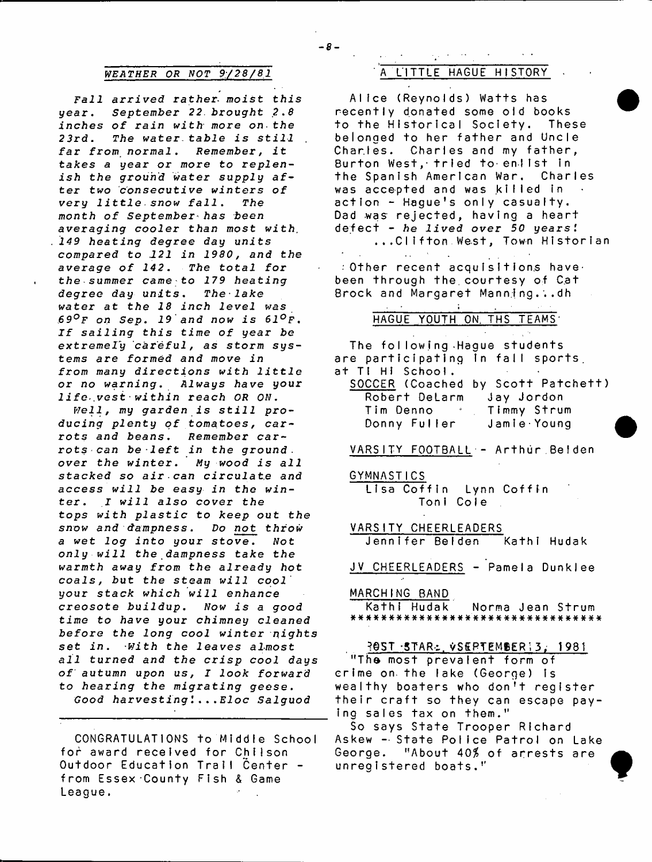## *WEATHER OR NOT 9/28/81* A LITTLE HAGUE HISTORY

*Fall arrived rather- moist this* year. September 22 brought 2.8 *inches of rain with more on- the 23rd. The water*,taJbie *is still far from normal. Remember,* it takes a year or more to replen*ish the ground water* supply after *two consecutive winters of very l i t t l e .snow f a l l . The month of September has been averaging cooler than most with. 149 heating degree day units compared to 121 in 1980, and the average of 142. The total for the summer came to 179 heating*  $degree$  day units. The lake *water at the 18 inch level was 69°F on Sep. 19 and now is 61°f . If sailing this time of year be extremely careful, as storm systems are formed and move in from many directions with little or no warning*. Always *have* your  $life$  vest within reach OR ON.

Well, my garden is still producing plenty of tomatoes, car*rots and beans. Remember carrots can be • left in the ground* . *over the winter. My wood is all stacked so air-can* circulate and access *will be easy in the winter . I will also cover the tops with plastic* to *keep* out *the snow and dampness. Do not throw a wet log into your stove. Not only w i 11 the dampness take the warmth* away *from the already hot coals,* tut *the steam will cool* your *stack which will enhance creosote b u i l d u p . Now is a good time to have* your chimney *cleaned before the long cool winter nights set in. with the leaves almost all turned and the crisp cool days of autumn upon us, I look forward to hearing the migrating g e e s e . Good harvesting I ...Eloc Salguod*

CONGRATULATIONS to Middle School for award received for Chilson Outdoor Education Trail Center from Essex County Fish & Game League.

Alice (Reynolds) Watts has recently donated some old books to the Historical Society. These belonged to her father and Uncle Charles. Charles and my father, Burton West, tried to enlist in the Spanish American War, Charles was accepted and was killed in action - Hague's only casualty. Dad was rejected, having a heart defect - *he lived over 50 years!* ...Clifton West, Town Historian

 $\pm$  Other recent acquisitions have: been through the courtesy of Cat Brock and Margaret Manning...dh

 $\epsilon$  .

## HAGUE YOUTH ON. THS TEAMS

The following Hague students are participating in fall sports, at TI HI School.

|                        | SOCCER (Coached by Scott Patchett) |
|------------------------|------------------------------------|
| Robert DeLarm          | Jay Jordon                         |
| Tim Denno <sup>.</sup> | Timmy Strum                        |
| Donny Fuller           | Jamie Young                        |

VARSITY FOOTBALL - Arthur Belden

GYMNASTICS

Lisa Coffin Lynn Coffin Toni Cole

VARSITY CHEERLEADERS

Jennifer Belden Kathi Hudak

JV CHEERLEADERS - Pamela Dunklee

## MARCHING BAND

Kathi Hudak Norma Jean Strum a####\*##\*#\*##############\*##\*####

## ?6 S T "STAR-:,. v S E R T E M B E R » 3; 1 9 8 1

"The most prevalent form of crime on the lake (George) is wealthy boaters who don't register their craft so they can escape paying sales tax on them."

So says State Trooper Richard Askew - State Police Patrol on Lake George. "About 40\$ of arrests are unregistered boats."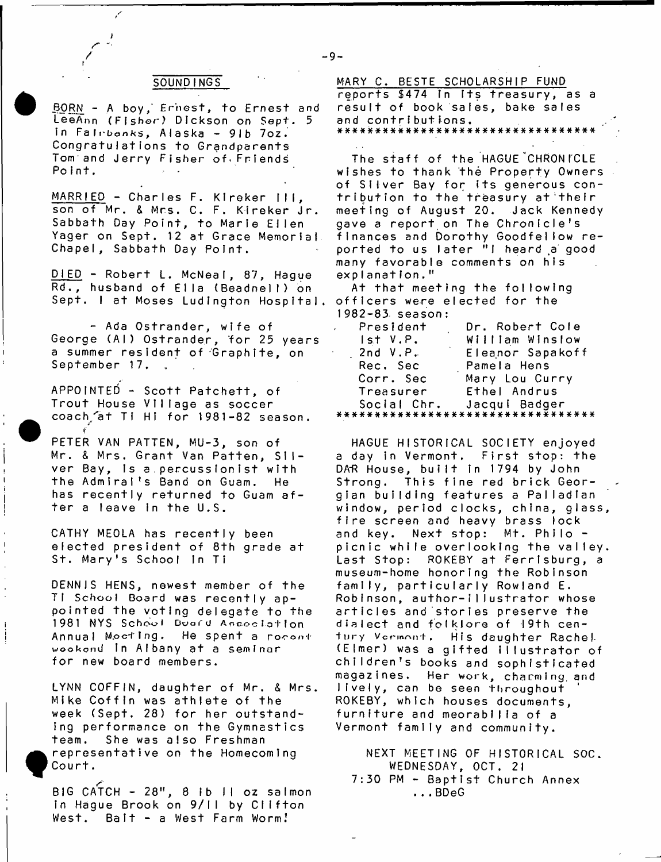BORN - A boy, Ernest, to Ernest and LeeAnn (Fishor) Dickson on Sept. 5 In Falrbonks, Alaska - 91b 7oz. Congratulations to Grandparents Tom and Jerry Fisher of^Frlends Point.

MARRIED - Charles F. Kireker III, son of Mr. & Mrs. C. F. Kireker Jr. Sabbath Day Point, to Marie Ellen Yager on Sept. 12 at Grace Memorial Chapel, Sabbath Day Point.

 $DIED - Robert L. M c$ Neal, 87, Hague Rd., husband of Ella (Beadnell) on Sept. I at Moses Ludington Hospital.

- Ada Ostrander, wife of George (Al) Ostrander, for 25 years a summer resident of Graphite, on September 17.

APPOINTED - Scott Patchett, of Trout House Vi llage as soccer coach at Ti Hi for 1981-82 season.

*f*

PETER VAN PATTEN, MU-3, son of Mr. & Mrs. Grant Van Patten, Silver Bay, is a percussionist with the Admiral's Band on Guam. He has recently returned to Guam after a leave in the U.S.

CATHY MEOLA has recently been elected president of 8th grade at St. Mary's School in Ti

DENNIS HENS, newest member of the TI School Board was recently appointed the voting delegate to the 1981 NYS School Doord Association Annual Mocting. He spent a rocont wookond In Albany at a seminar for new board members.

LYNN COFFIN, daughter of Mr. & Mrs. Mike Coffin was athlete of the week (Sept. 28) for her outstanding performance on the Gymnastics team. She was also Freshman representative on the Homecomlnq Court.

BIG CATCH -  $28"$ ,  $8$  ib ii oz saimon in Hague Brook on 9/11 by Clifton West. Bait - a West Farm Worm!

SOUNDINGS MARY C. BESTE SCHOLARSHIP FUND reports \$474 in its treasury, as a result of book sales, bake sales and contributions. a\*####\*\*####\*\*#\*#\*####\*#\*#\*#####\*\*

> The staff of the HAGUE CHRONICLE wishes to thank the Property Owners of Silver Bay for its generous contribution to the treasury at'thelr meeting of August 20. Jack Kennedy gave a report on The Chronicle's finances and Dorothy Goodfellow reported to us later "I heard a good many favorable comments on his explanation."

At that meeting the following officers were elected for the  $1982 - 83$ , season:

| President     | Dr. Robert Cole  |
|---------------|------------------|
| $I$ st $V.P.$ | William Winslow  |
| 2nd V.P.      | Eleanor Sapakoff |
| Rec. Sec      | Pamela Hens      |
| Corr. Sec     | Mary Lou Curry   |
| Treasurer     | Ethel Andrus     |
|               |                  |
|               |                  |

HAGUE HISTORICAL SOCIETY enjoyed a day in Vermont. First stop: the DAR House, built in 1794 by John Strong. This fine red brick Georgian building features a Palladian window, period clocks, china, glass fire screen and heavy brass lock and key. Next stop: Mt. Philo picnic while overlooking the valley Last Stop: ROKEBY at Ferrlsburg, a museum-home honoring the Robinson family, particularly Rowland E. Robinson, author-illustrator whose articles and stories preserve the dialect and folklore of 19th century Vormont. His daughter Rachel (Elmer) was a gifted illustrator of children's books and sophisticated magazines. Her work, charming, and lively, can be seen throughout ROKEBY, which houses documents, furniture and meorabilia of a Vermont family and community.

NEXT MEETING OF HISTORICAL SOC. WEDNESDAY, OCT. 21  $7:30$  PM  $-$  Baptist Church Annex ...BDeG